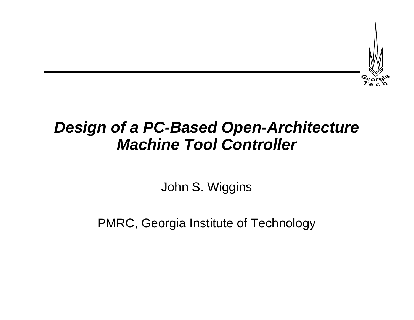

## *Design of a PC-Based Open-Architecture Machine Tool Controller*

John S. Wiggins

PMRC, Georgia Institute of Technology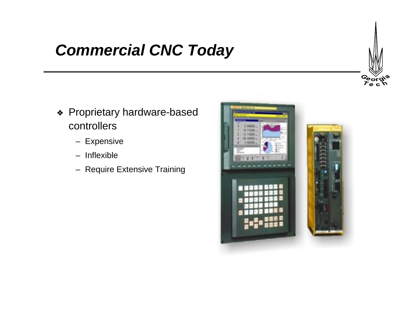## *Commercial CNC Today*

- ❖ Proprietary hardware-based controllers
	- Expensive
	- Inflexible
	- Require Extensive Training



*Georg*<br>*Te* c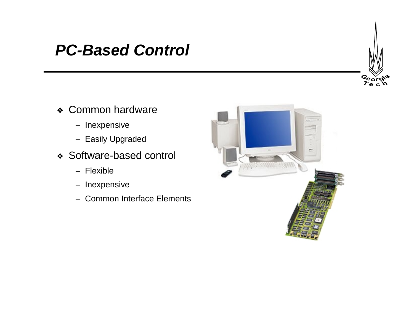## *PC-Based Control*



- ❖ Common hardware
	- Inexpensive
	- Easily Upgraded
- ❖ Software-based control
	- Flexible
	- Inexpensive
	- Common Interface Elements

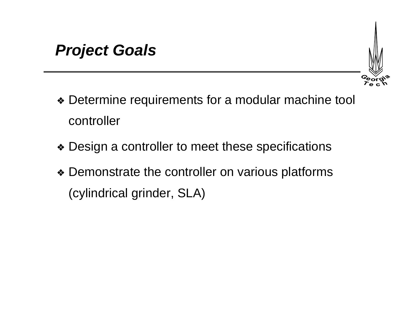

- ❖ Determine requirements for a modular machine tool controller
- ❖ Design a controller to meet these specifications
- ❖ Demonstrate the controller on various platforms (cylindrical grinder, SLA)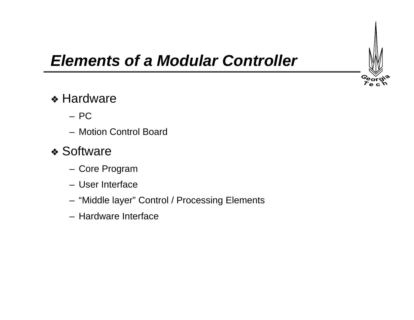

# *Elements of a Modular Controller*

#### ❖ Hardware

- PC
- Motion Control Board

#### ❖ Software

- Core Program
- User Interface
- "Middle layer" Control / Processing Elements
- Hardware Interface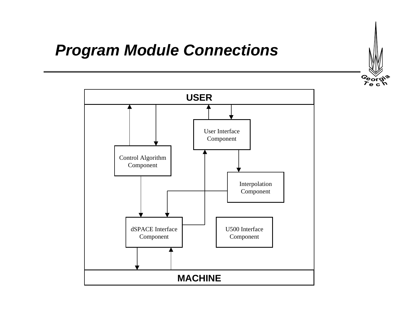# Georgi<sup>2</sup>

## *Program Module Connections*

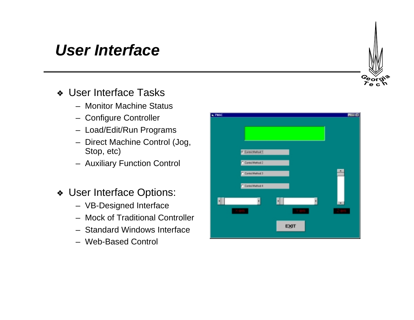## *User Interface*

- ❖ User Interface Tasks
	- Monitor Machine Status
	- Configure Controller
	- Load/Edit/Run Programs
	- Direct Machine Control (Jog, Stop, etc)
	- Auxiliary Function Control
- ❖ User Interface Options:
	- VB-Designed Interface
	- Mock of Traditional Controller
	- Standard Windows Interface
	- Web-Based Control



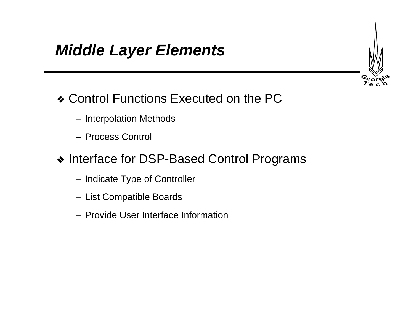## *Middle Layer Elements*

- ❖ Control Functions Executed on the PC
	- Interpolation Methods
	- Process Control
- ❖ Interface for DSP-Based Control Programs
	- Indicate Type of Controller
	- List Compatible Boards
	- Provide User Interface Information